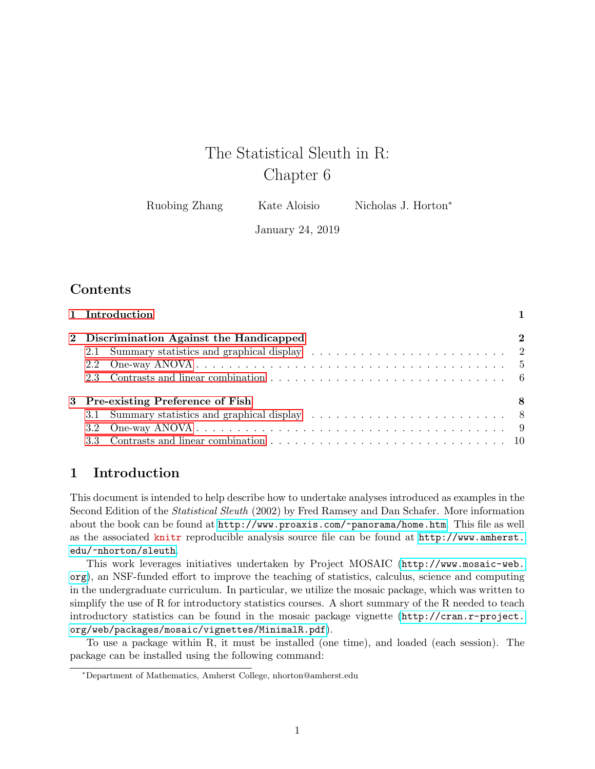# The Statistical Sleuth in R: Chapter 6

Ruobing Zhang Kate Aloisio Nicholas J. Horton<sup>\*</sup>

January 24, 2019

# **Contents**

| 1 Introduction |                                          |          |  |  |  |  |  |  |  |
|----------------|------------------------------------------|----------|--|--|--|--|--|--|--|
|                | 2 Discrimination Against the Handicapped | $\bf{2}$ |  |  |  |  |  |  |  |
|                |                                          |          |  |  |  |  |  |  |  |
|                |                                          |          |  |  |  |  |  |  |  |
|                |                                          |          |  |  |  |  |  |  |  |
|                | 3 Pre-existing Preference of Fish        | -8       |  |  |  |  |  |  |  |
|                |                                          |          |  |  |  |  |  |  |  |
|                |                                          |          |  |  |  |  |  |  |  |
|                |                                          |          |  |  |  |  |  |  |  |

# <span id="page-0-0"></span>1 Introduction

This document is intended to help describe how to undertake analyses introduced as examples in the Second Edition of the Statistical Sleuth (2002) by Fred Ramsey and Dan Schafer. More information about the book can be found at <http://www.proaxis.com/~panorama/home.htm>. This file as well as the associated knitr reproducible analysis source file can be found at [http://www.amherst.](http://www.amherst.edu/~nhorton/sleuth) [edu/~nhorton/sleuth](http://www.amherst.edu/~nhorton/sleuth).

This work leverages initiatives undertaken by Project MOSAIC ([http://www.mosaic-web.](http://www.mosaic-web.org) [org](http://www.mosaic-web.org)), an NSF-funded effort to improve the teaching of statistics, calculus, science and computing in the undergraduate curriculum. In particular, we utilize the mosaic package, which was written to simplify the use of R for introductory statistics courses. A short summary of the R needed to teach introductory statistics can be found in the mosaic package vignette ([http://cran.r-project.](http://cran.r-project.org/web/packages/mosaic/vignettes/MinimalR.pdf) [org/web/packages/mosaic/vignettes/MinimalR.pdf](http://cran.r-project.org/web/packages/mosaic/vignettes/MinimalR.pdf)).

To use a package within R, it must be installed (one time), and loaded (each session). The package can be installed using the following command:

<sup>∗</sup>Department of Mathematics, Amherst College, nhorton@amherst.edu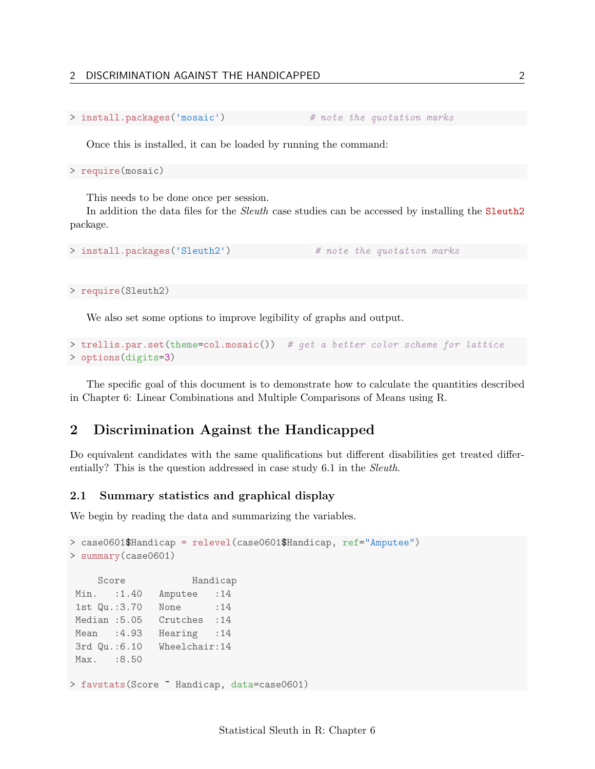### 2 DISCRIMINATION AGAINST THE HANDICAPPED 2

```
> install.packages('mosaic') # note the quotation marks
```
Once this is installed, it can be loaded by running the command:

> require(mosaic)

This needs to be done once per session.

In addition the data files for the *Sleuth* case studies can be accessed by installing the **Sleuth2** package.

```
> install.packages('Sleuth2') # note the quotation marks
```
> require(Sleuth2)

We also set some options to improve legibility of graphs and output.

```
> trellis.par.set(theme=col.mosaic()) # get a better color scheme for lattice
> options(digits=3)
```
The specific goal of this document is to demonstrate how to calculate the quantities described in Chapter 6: Linear Combinations and Multiple Comparisons of Means using R.

# <span id="page-1-0"></span>2 Discrimination Against the Handicapped

Do equivalent candidates with the same qualifications but different disabilities get treated differentially? This is the question addressed in case study 6.1 in the *Sleuth*.

#### <span id="page-1-1"></span>2.1 Summary statistics and graphical display

We begin by reading the data and summarizing the variables.

```
> case0601$Handicap = relevel(case0601$Handicap, ref="Amputee")
> summary(case0601)
    Score Handicap
Min. :1.40 Amputee :14
1st Qu.:3.70 None : 14
Median :5.05 Crutches :14
Mean :4.93 Hearing :14
3rd Qu.:6.10 Wheelchair:14
Max. : 8.50
> favstats(Score ~ Handicap, data=case0601)
```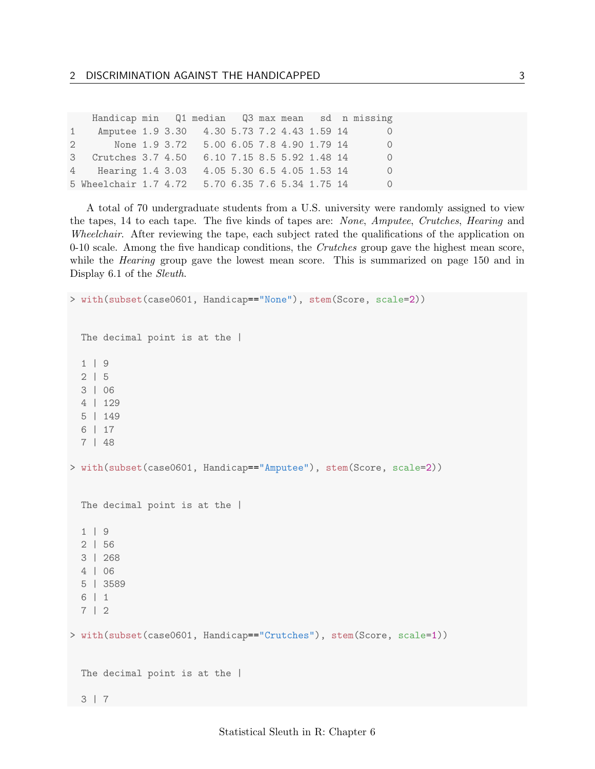|              | Handicap min Q1 median Q3 max mean sd n missing |  |                                                      |  |                            |  |          |
|--------------|-------------------------------------------------|--|------------------------------------------------------|--|----------------------------|--|----------|
| $\mathbf{1}$ | Amputee 1.9 3.30 4.30 5.73 7.2 4.43 1.59 14     |  |                                                      |  |                            |  | $\Omega$ |
|              | $\mathbf{2}$                                    |  | None 1.9 3.72   5.00   6.05   7.8   4.90   1.79   14 |  |                            |  | $\Omega$ |
|              | 3 Crutches 3.7 4.50                             |  |                                                      |  | 6.10 7.15 8.5 5.92 1.48 14 |  | $\Omega$ |
|              | 4 Hearing 1.4 3.03                              |  |                                                      |  | 4.05 5.30 6.5 4.05 1.53 14 |  | $\Omega$ |
|              | 5 Wheelchair 1.7 4.72                           |  | 5.70 6.35 7.6 5.34 1.75 14                           |  |                            |  | $\Omega$ |

A total of 70 undergraduate students from a U.S. university were randomly assigned to view the tapes, 14 to each tape. The five kinds of tapes are: None, Amputee, Crutches, Hearing and Wheelchair. After reviewing the tape, each subject rated the qualifications of the application on  $0-10$  scale. Among the five handicap conditions, the *Crutches* group gave the highest mean score, while the *Hearing* group gave the lowest mean score. This is summarized on page 150 and in Display 6.1 of the Sleuth.

```
> with(subset(case0601, Handicap=="None"), stem(Score, scale=2))
 The decimal point is at the |
  1 | 9
 2 | 5
 3 | 06
 4 | 129
 5 | 149
  6 | 17
 7 | 48
> with(subset(case0601, Handicap=="Amputee"), stem(Score, scale=2))
 The decimal point is at the |
  1 | 9
  2 | 56
 3 | 268
 4 | 06
  5 | 3589
  6 | 1
 7 | 2
> with(subset(case0601, Handicap=="Crutches"), stem(Score, scale=1))
 The decimal point is at the |
 3 | 7
```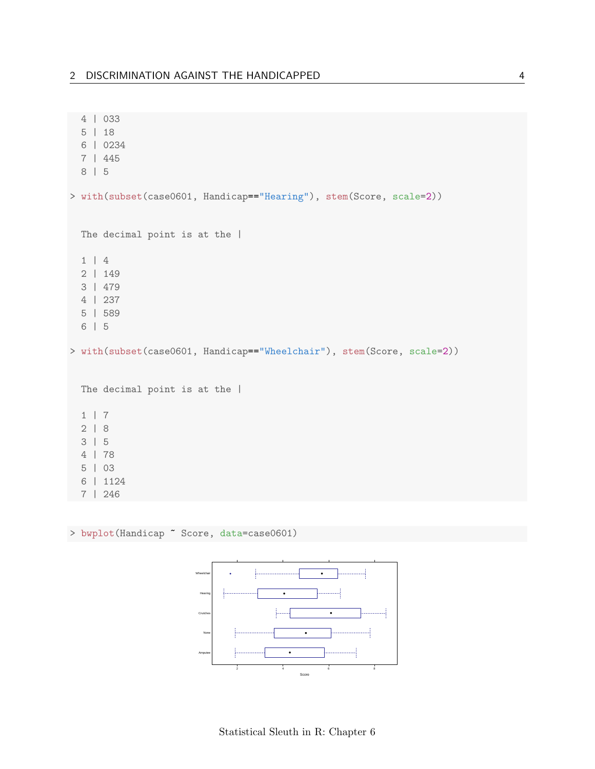```
4 | 033
 5 | 18
 6 | 0234
 7 | 445
 8 | 5
> with(subset(case0601, Handicap=="Hearing"), stem(Score, scale=2))
 The decimal point is at the |1 | 4
 2 | 149
 3 | 479
 4 | 237
 5 | 589
 6 | 5
> with(subset(case0601, Handicap=="Wheelchair"), stem(Score, scale=2))
 The decimal point is at the |1 | 7
 2 | 8
 3 | 5
 4 | 78
 5 | 03
 6 | 1124
 7 | 246
```
> bwplot(Handicap ~ Score, data=case0601)

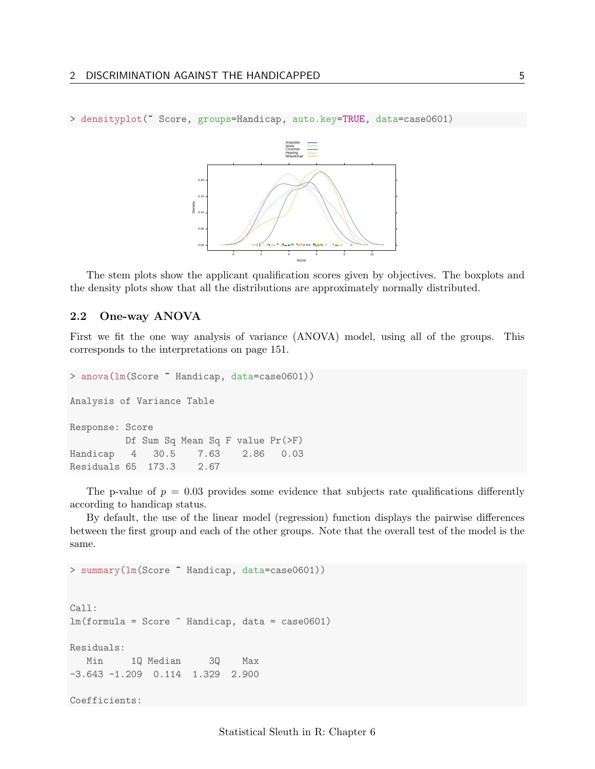

> densityplot(~ Score, groups=Handicap, auto.key=TRUE, data=case0601)

The stem plots show the applicant qualification scores given by objectives. The boxplots and the density plots show that all the distributions are approximately normally distributed.

## <span id="page-4-0"></span>2.2 One-way ANOVA

First we fit the one way analysis of variance (ANOVA) model, using all of the groups. This corresponds to the interpretations on page 151.

```
> anova(lm(Score ~ Handicap, data=case0601))
Analysis of Variance Table
Response: Score
         Df Sum Sq Mean Sq F value Pr(>F)
Handicap 4 30.5 7.63 2.86 0.03
Residuals 65 173.3 2.67
```
The p-value of  $p = 0.03$  provides some evidence that subjects rate qualifications differently according to handicap status.

By default, the use of the linear model (regression) function displays the pairwise differences between the first group and each of the other groups. Note that the overall test of the model is the same.

> summary(lm(Score ~ Handicap, data=case0601)) Call:  $lm(formula = Score$   $Methi$ Residuals: Min 1Q Median 3Q Max -3.643 -1.209 0.114 1.329 2.900 Coefficients: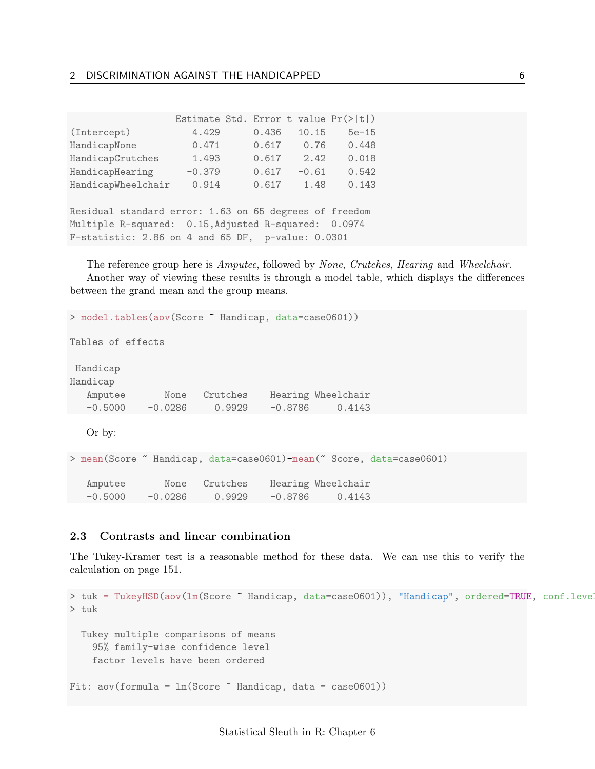|                                                        |          |  |       |         | Estimate Std. Error t value $Pr(>\vert t \vert)$ |  |  |
|--------------------------------------------------------|----------|--|-------|---------|--------------------------------------------------|--|--|
| (Intercept)                                            | 4.429    |  | 0.436 | 10.15   | $5e-15$                                          |  |  |
| HandicapNone                                           | 0.471    |  | 0.617 | 0.76    | 0.448                                            |  |  |
| HandicapCrutches                                       | 1.493    |  | 0.617 | 2.42    | 0.018                                            |  |  |
| HandicapHearing                                        | $-0.379$ |  | 0.617 | $-0.61$ | 0.542                                            |  |  |
| HandicapWheelchair                                     | 0.914    |  | 0.617 | 1.48    | 0.143                                            |  |  |
|                                                        |          |  |       |         |                                                  |  |  |
| Residual standard error: 1.63 on 65 degrees of freedom |          |  |       |         |                                                  |  |  |
| Multiple R-squared: 0.15, Adjusted R-squared: 0.0974   |          |  |       |         |                                                  |  |  |
| F-statistic: 2.86 on 4 and 65 DF, p-value: 0.0301      |          |  |       |         |                                                  |  |  |

The reference group here is Amputee, followed by None, Crutches, Hearing and Wheelchair. Another way of viewing these results is through a model table, which displays the differences between the grand mean and the group means.

```
> model.tables(aov(Score ~ Handicap, data=case0601))
```
Tables of effects

Handicap

| Handicap  |           |          |           |                    |  |  |  |
|-----------|-----------|----------|-----------|--------------------|--|--|--|
| Amputee   | None      | Crutches |           | Hearing Wheelchair |  |  |  |
| $-0.5000$ | $-0.0286$ | 0.9929   | $-0.8786$ | 0.4143             |  |  |  |

Or by:

```
> mean(Score ~ Handicap, data=case0601)-mean(~ Score, data=case0601)
  Amputee None Crutches Hearing Wheelchair
  -0.5000 -0.0286 0.9929 -0.8786 0.4143
```
## <span id="page-5-0"></span>2.3 Contrasts and linear combination

The Tukey-Kramer test is a reasonable method for these data. We can use this to verify the calculation on page 151.

```
> tuk = TukeyHSD(aov(1m(Score ~ Handicap, data=case0601)), "Handicap", ordered=TRUE, conf.level
> tuk
 Tukey multiple comparisons of means
   95% family-wise confidence level
   factor levels have been ordered
Fit: aov(formula = lm(Score "Handicap, data = case0601))
```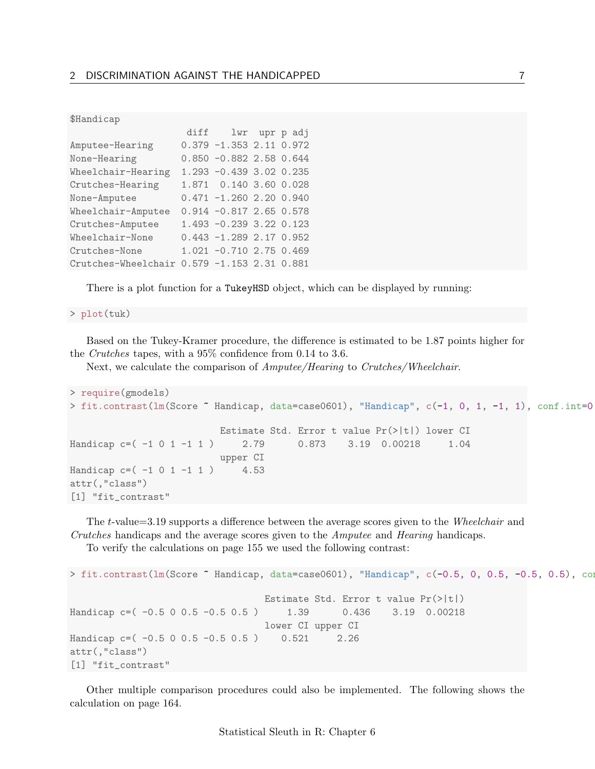\$Handicap

|                                             | diff lwr upr p adj         |  |
|---------------------------------------------|----------------------------|--|
| Amputee-Hearing                             | $0.379 - 1.353 2.11 0.972$ |  |
| None-Hearing                                | $0.850 -0.882 2.58 0.644$  |  |
| Wheelchair-Hearing                          | 1.293 -0.439 3.02 0.235    |  |
| Crutches-Hearing                            | 1.871  0.140  3.60  0.028  |  |
| None-Amputee                                | $0.471 - 1.260 2.20 0.940$ |  |
| Wheelchair-Amputee                          | $0.914 - 0.817$ 2.65 0.578 |  |
| Crutches-Amputee                            | 1.493 -0.239 3.22 0.123    |  |
| Wheelchair-None                             | $0.443 - 1.289 2.17 0.952$ |  |
| Crutches-None                               | 1.021 -0.710 2.75 0.469    |  |
| Crutches-Wheelchair 0.579 -1.153 2.31 0.881 |                            |  |

There is a plot function for a TukeyHSD object, which can be displayed by running:

> plot(tuk)

Based on the Tukey-Kramer procedure, the difference is estimated to be 1.87 points higher for the Crutches tapes, with a 95% confidence from 0.14 to 3.6.

Next, we calculate the comparison of *Amputee/Hearing* to *Crutches/Wheelchair.* 

```
> require(gmodels)
> fit.contrast(lm(Score ~ Handicap, data=case0601), "Handicap", c(-1, 0, 1, -1, 1), conf.int=0.
                         Estimate Std. Error t value Pr(>|t|) lower CI
Handicap c=( -1 0 1 -1 1) 2.79 0.873 3.19 0.00218 1.04
                         upper CI
Handicap c=( -1 0 1 -1 1 ) 4.53
attr(,"class")
[1] "fit_contrast"
```
The t-value=3.19 supports a difference between the average scores given to the Wheelchair and Crutches handicaps and the average scores given to the Amputee and Hearing handicaps.

To verify the calculations on page 155 we used the following contrast:

```
> fit.contrast(lm(Score ~ Handicap, data=case0601), "Handicap", c(-0.5, 0, 0.5, -0.5, 0.5), con
                                 Estimate Std. Error t value Pr(>|t|)
Handicap c=( -0.5 0 0.5 -0.5 0.5) 1.39 0.436 3.19 0.00218
                                 lower CI upper CI
Handicap c=( -0.5 0 0.5 -0.5 0.5) 0.521 2.26
attr(,"class")
[1] "fit_contrast"
```
Other multiple comparison procedures could also be implemented. The following shows the calculation on page 164.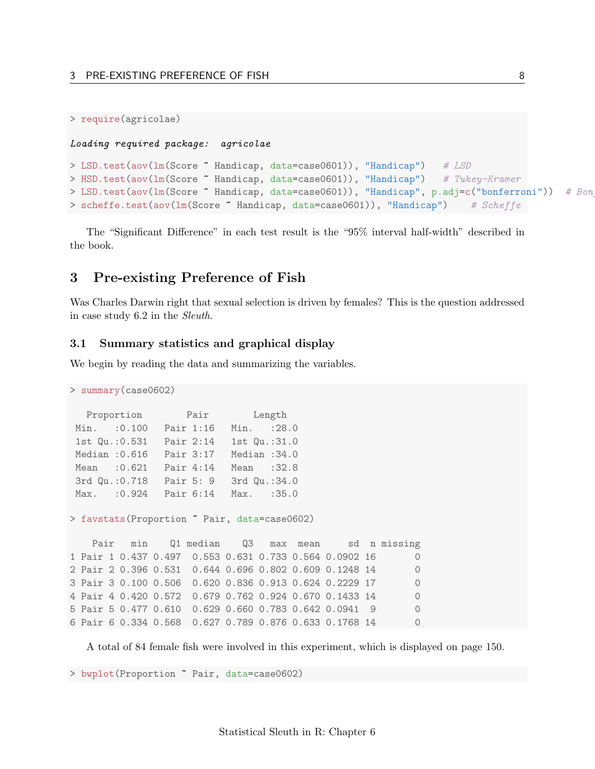```
> require(agricolae)
```
### Loading required package: agricolae

```
> LSD.test(aov(1m(Score ~ Handicap, data=case0601)), "Handicap") # LSD
> HSD.test(aov(1m(Score ~ Handicap, data=case0601)), "Handicap") # Tukey-Kramer
> LSD.test(aov(lm(Score ~ Handicap, data=case0601)), "Handicap", p.adj=c("bonferroni")) # Bon
> scheffe.test(aov(lm(Score ~ Handicap, data=case0601)), "Handicap") # Scheffe
```
The "Significant Difference" in each test result is the "95% interval half-width" described in the book.

# <span id="page-7-0"></span>3 Pre-existing Preference of Fish

Was Charles Darwin right that sexual selection is driven by females? This is the question addressed in case study 6.2 in the Sleuth.

### <span id="page-7-1"></span>3.1 Summary statistics and graphical display

We begin by reading the data and summarizing the variables.

```
> summary(case0602)
  Proportion Pair Length
Min. :0.100 Pair 1:16 Min. :28.0
1st Qu.:0.531 Pair 2:14 1st Qu.:31.0
Median :0.616 Pair 3:17 Median :34.0
Mean :0.621 Pair 4:14 Mean :32.8
3rd Qu.:0.718 Pair 5: 9 3rd Qu.:34.0
Max. :0.924 Pair 6:14 Max. :35.0
> favstats(Proportion ~ Pair, data=case0602)
   Pair min Q1 median Q3 max mean sd n missing
1 Pair 1 0.437 0.497 0.553 0.631 0.733 0.564 0.0902 16 0
2 Pair 2 0.396 0.531 0.644 0.696 0.802 0.609 0.1248 14 0
3 Pair 3 0.100 0.506 0.620 0.836 0.913 0.624 0.2229 17 0
```
4 Pair 4 0.420 0.572 0.679 0.762 0.924 0.670 0.1433 14 0 5 Pair 5 0.477 0.610 0.629 0.660 0.783 0.642 0.0941 9 0 6 Pair 6 0.334 0.568 0.627 0.789 0.876 0.633 0.1768 14 0

A total of 84 female fish were involved in this experiment, which is displayed on page 150.

> bwplot(Proportion ~ Pair, data=case0602)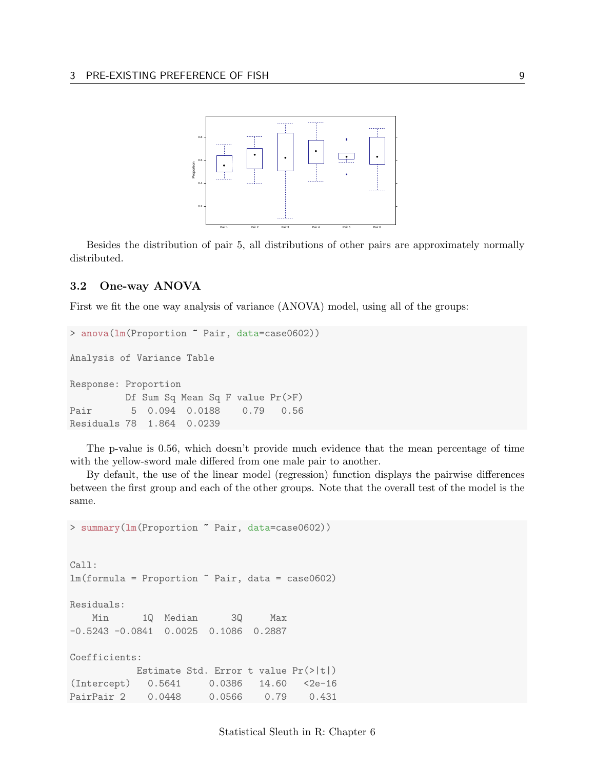

Besides the distribution of pair 5, all distributions of other pairs are approximately normally distributed.

## <span id="page-8-0"></span>3.2 One-way ANOVA

First we fit the one way analysis of variance (ANOVA) model, using all of the groups:

```
> anova(lm(Proportion " Pair, data=case0602))
Analysis of Variance Table
Response: Proportion
         Df Sum Sq Mean Sq F value Pr(>F)
Pair 5 0.094 0.0188 0.79 0.56
Residuals 78 1.864 0.0239
```
The p-value is 0.56, which doesn't provide much evidence that the mean percentage of time with the yellow-sword male differed from one male pair to another.

By default, the use of the linear model (regression) function displays the pairwise differences between the first group and each of the other groups. Note that the overall test of the model is the same.

> summary(lm(Proportion ~ Pair, data=case0602)) Call:  $lm(formula = Proportion$   $\tilde{ }$  Pair, data = case0602)Residuals: Min 1Q Median 3Q Max -0.5243 -0.0841 0.0025 0.1086 0.2887 Coefficients: Estimate Std. Error t value Pr(>|t|) (Intercept) 0.5641 0.0386 14.60 <2e-16 PairPair 2 0.0448 0.0566 0.79 0.431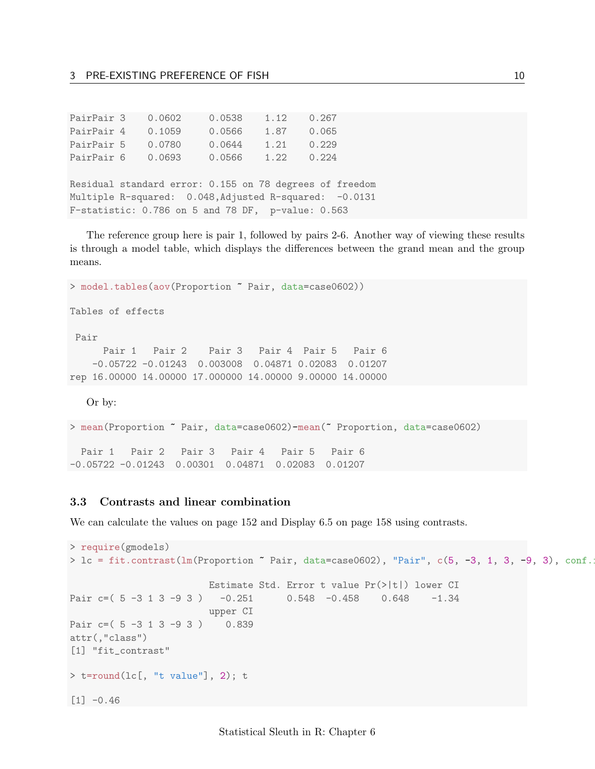| PairPair 3 | 0.0602 | 0.0538 | 1.12 | 0.267 |
|------------|--------|--------|------|-------|
| PairPair 4 | 0.1059 | 0.0566 | 1.87 | 0.065 |
| PairPair 5 | 0.0780 | 0.0644 | 1.21 | 0.229 |
| PairPair 6 | 0.0693 | 0.0566 | 1.22 | 0.224 |

Residual standard error: 0.155 on 78 degrees of freedom Multiple R-squared: 0.048, Adjusted R-squared: -0.0131 F-statistic: 0.786 on 5 and 78 DF, p-value: 0.563

The reference group here is pair 1, followed by pairs 2-6. Another way of viewing these results is through a model table, which displays the differences between the grand mean and the group means.

```
> model.tables(aov(Proportion ~ Pair, data=case0602))
Tables of effects
Pair
     Pair 1 Pair 2 Pair 3 Pair 4 Pair 5 Pair 6
   -0.05722 -0.01243 0.003008 0.04871 0.02083 0.01207
rep 16.00000 14.00000 17.000000 14.00000 9.00000 14.00000
```
Or by:

> mean(Proportion ~ Pair, data=case0602)-mean(~ Proportion, data=case0602) Pair 1 Pair 2 Pair 3 Pair 4 Pair 5 Pair 6 -0.05722 -0.01243 0.00301 0.04871 0.02083 0.01207

## <span id="page-9-0"></span>3.3 Contrasts and linear combination

We can calculate the values on page 152 and Display 6.5 on page 158 using contrasts.

```
> require(gmodels)
> 1c = \text{fit.contrast}(\text{lm}(\text{Proportion } ^{\sim} \text{Pair}, \text{ data=case0602}), \text{ "Pair", c(5, -3, 1, 3, -9, 3), conf..})Estimate Std. Error t value Pr(>|t|) lower CI
Pair c=( 5 -3 1 3 -9 3 ) -0.251 0.548 -0.458 0.648 -1.34
                           upper CI
Pair c=( 5 -3 1 3 -9 3 ) 0.839
attr(,"class")
[1] "fit_contrast"
> t=round(lc[, "t value"], 2); t
[1] -0.46
```